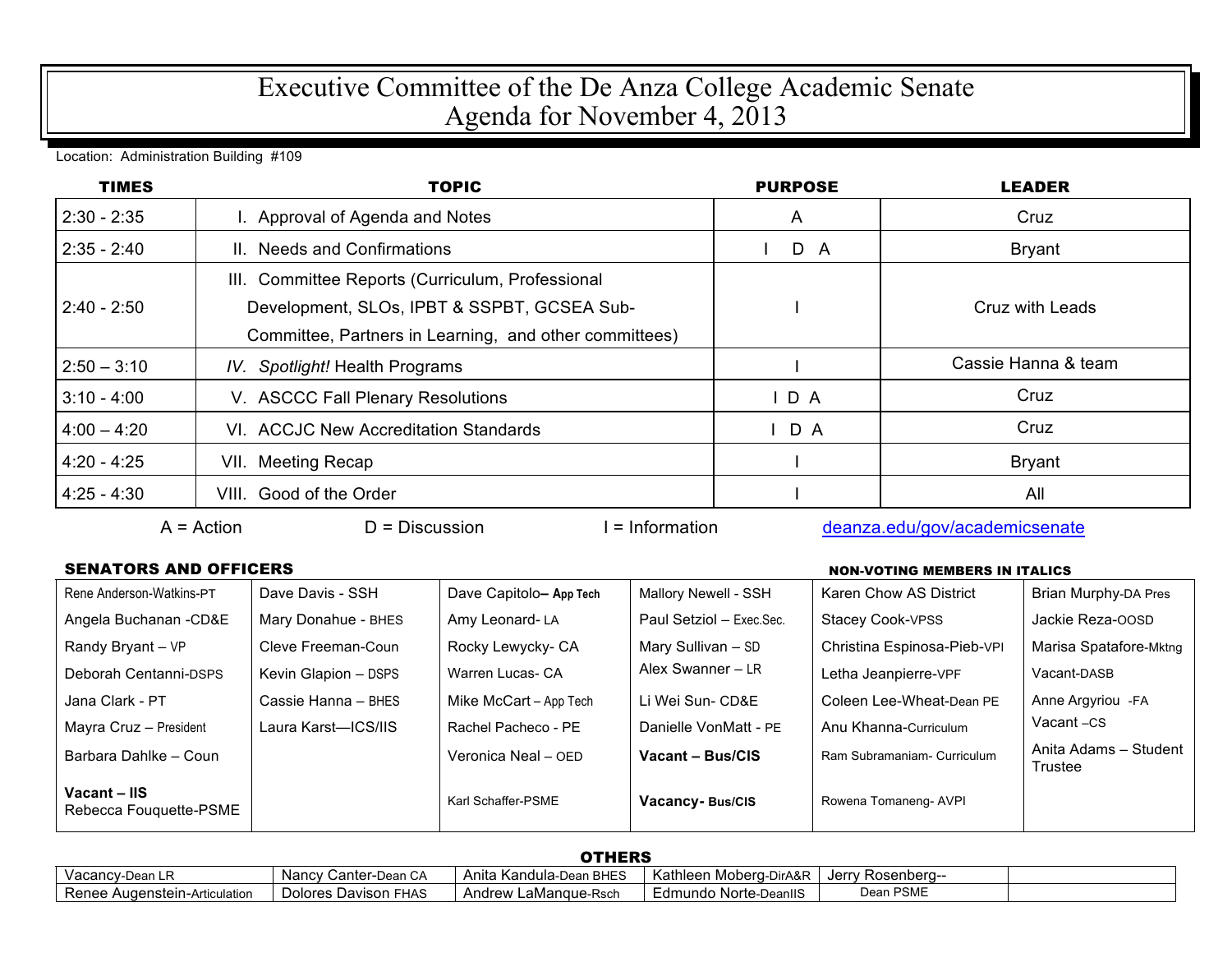## Executive Committee of the De Anza College Academic Senate Agenda for November 4, 2013

Location: Administration Building #109

| <b>TIMES</b>  | <b>TOPIC</b>                                                                                                                                              | <b>PURPOSE</b> | <b>LEADER</b>       |
|---------------|-----------------------------------------------------------------------------------------------------------------------------------------------------------|----------------|---------------------|
| $2:30 - 2:35$ | I. Approval of Agenda and Notes                                                                                                                           | A              | Cruz                |
| $2:35 - 2:40$ | II. Needs and Confirmations                                                                                                                               | D A            | <b>Bryant</b>       |
| $2:40 - 2:50$ | III. Committee Reports (Curriculum, Professional<br>Development, SLOs, IPBT & SSPBT, GCSEA Sub-<br>Committee, Partners in Learning, and other committees) |                | Cruz with Leads     |
| $2:50 - 3:10$ | IV. Spotlight! Health Programs                                                                                                                            |                | Cassie Hanna & team |
| $3:10 - 4:00$ | V. ASCCC Fall Plenary Resolutions                                                                                                                         | $I$ D A        | Cruz                |
| $4:00 - 4:20$ | VI. ACCJC New Accreditation Standards                                                                                                                     | D A            | Cruz                |
| 4:20 - 4:25   | VII. Meeting Recap                                                                                                                                        |                | <b>Bryant</b>       |
| $4:25 - 4:30$ | VIII. Good of the Order                                                                                                                                   |                | All                 |

A = Action D = Discussion I = Information deanza.edu/gov/academicsenate

## **SENATORS AND OFFICERS**

| <b>NON-VOTING MEMBERS IN ITALICS</b> |  |
|--------------------------------------|--|
|                                      |  |

| Rene Anderson-Watkins-PT               | Dave Davis - SSH     | Dave Capitolo- App Tech | Mallory Newell - SSH     | Karen Chow AS District      | Brian Murphy-DA Pres             |
|----------------------------------------|----------------------|-------------------------|--------------------------|-----------------------------|----------------------------------|
| Angela Buchanan - CD&E                 | Mary Donahue - BHES  | Amy Leonard-LA          | Paul Setziol - Exec.Sec. | Stacey Cook-VPSS            | Jackie Reza-OOSD                 |
| Randy Bryant - VP                      | Cleve Freeman-Coun   | Rocky Lewycky- CA       | Mary Sullivan - SD       | Christina Espinosa-Pieb-VPI | Marisa Spatafore-Mktng           |
| Deborah Centanni-DSPS                  | Kevin Glapion - DSPS | Warren Lucas- CA        | Alex Swanner - LR        | Letha Jeanpierre-VPF        | Vacant-DASB                      |
| Jana Clark - PT                        | Cassie Hanna - BHES  | Mike McCart - App Tech  | Li Wei Sun- CD&E         | Coleen Lee-Wheat-Dean PE    | Anne Argyriou - FA               |
| Mayra Cruz - President                 | Laura Karst—ICS/IIS  | Rachel Pacheco - PE     | Danielle VonMatt - PE    | Anu Khanna-Curriculum       | Vacant-CS                        |
| Barbara Dahlke - Coun                  |                      | Veronica Neal - OED     | Vacant - Bus/CIS         | Ram Subramaniam- Curriculum | Anita Adams - Student<br>Trustee |
| Vacant - IIS<br>Rebecca Fouquette-PSME |                      | Karl Schaffer-PSME      | Vacancy-Bus/CIS          | Rowena Tomaneng- AVPI       |                                  |

| <b>OTHERS</b>                 |                             |                             |                        |                        |  |
|-------------------------------|-----------------------------|-----------------------------|------------------------|------------------------|--|
| Vacancy-Dean LR               | Nancy (<br>/ Canter-Dean CA | Anita Kandula-Dean BHES     | Kathleen Moberg-DirA&R | Jerrv<br>/ Rosenbera-- |  |
| Renee Augenstein-Articulation | Dolores Davison FHAS        | ' LaMangue-Rsch<br>Andrew I | Edmundo Norte-DeanllS  | Dean PSME              |  |